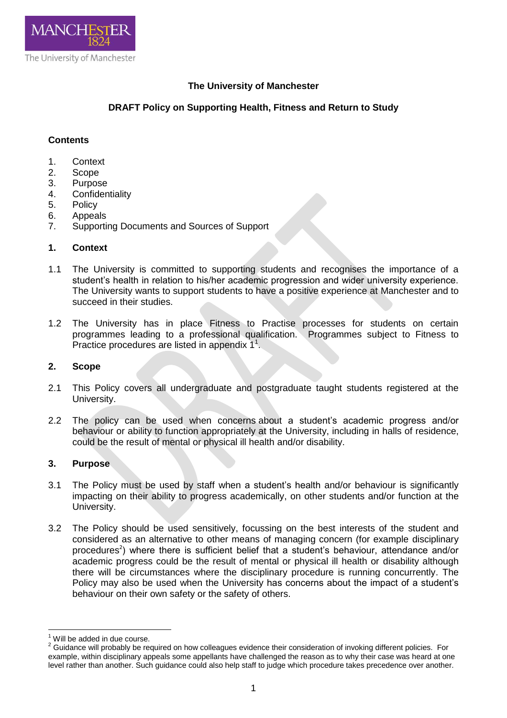

# **The University of Manchester**

# **DRAFT Policy on Supporting Health, Fitness and Return to Study**

#### **Contents**

- 1. Context
- 2. Scope
- 3. Purpose
- 4. Confidentiality<br>5. Policy
- **Policy**
- 6. Appeals
- 7. Supporting Documents and Sources of Support

### **1. Context**

- 1.1 The University is committed to supporting students and recognises the importance of a student's health in relation to his/her academic progression and wider university experience. The University wants to support students to have a positive experience at Manchester and to succeed in their studies.
- 1.2 The University has in place Fitness to Practise processes for students on certain programmes leading to a professional qualification. Programmes subject to Fitness to Practice procedures are listed in appendix  $1^1$ .

#### **2. Scope**

- 2.1 This Policy covers all undergraduate and postgraduate taught students registered at the University.
- 2.2 The policy can be used when concerns about a student's academic progress and/or behaviour or ability to function appropriately at the University, including in halls of residence, could be the result of mental or physical ill health and/or disability.

### **3. Purpose**

- 3.1 The Policy must be used by staff when a student's health and/or behaviour is significantly impacting on their ability to progress academically, on other students and/or function at the University.
- 3.2 The Policy should be used sensitively, focussing on the best interests of the student and considered as an alternative to other means of managing concern (for example disciplinary procedures<sup>2</sup>) where there is sufficient belief that a student's behaviour, attendance and/or academic progress could be the result of mental or physical ill health or disability although there will be circumstances where the disciplinary procedure is running concurrently. The Policy may also be used when the University has concerns about the impact of a student's behaviour on their own safety or the safety of others.

 $\overline{a}$ 

Will be added in due course.

<sup>&</sup>lt;sup>2</sup> Guidance will probably be required on how colleagues evidence their consideration of invoking different policies. For example, within disciplinary appeals some appellants have challenged the reason as to why their case was heard at one level rather than another. Such guidance could also help staff to judge which procedure takes precedence over another.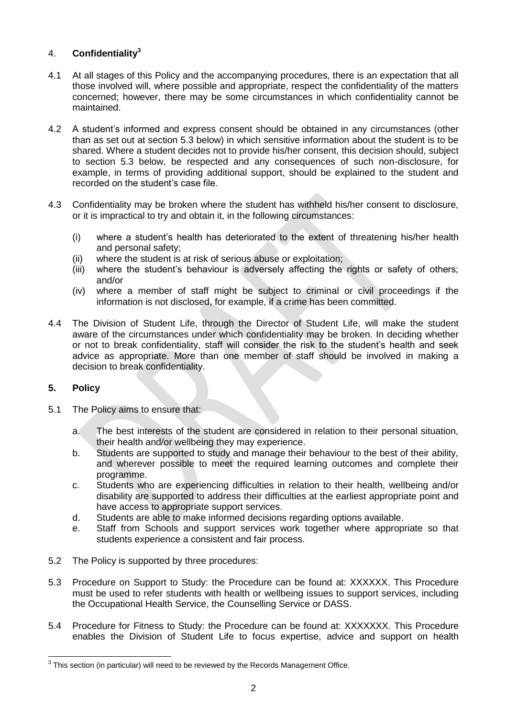# 4. **Confidentiality<sup>3</sup>**

- 4.1 At all stages of this Policy and the accompanying procedures, there is an expectation that all those involved will, where possible and appropriate, respect the confidentiality of the matters concerned; however, there may be some circumstances in which confidentiality cannot be maintained.
- 4.2 A student's informed and express consent should be obtained in any circumstances (other than as set out at section 5.3 below) in which sensitive information about the student is to be shared. Where a student decides not to provide his/her consent, this decision should, subject to section 5.3 below, be respected and any consequences of such non-disclosure, for example, in terms of providing additional support, should be explained to the student and recorded on the student's case file.
- 4.3 Confidentiality may be broken where the student has withheld his/her consent to disclosure, or it is impractical to try and obtain it, in the following circumstances:
	- (i) where a student's health has deteriorated to the extent of threatening his/her health and personal safety;
	- (ii) where the student is at risk of serious abuse or exploitation;
	- (iii) where the student's behaviour is adversely affecting the rights or safety of others; and/or
	- (iv) where a member of staff might be subject to criminal or civil proceedings if the information is not disclosed, for example, if a crime has been committed.
- 4.4 The Division of Student Life, through the Director of Student Life, will make the student aware of the circumstances under which confidentiality may be broken. In deciding whether or not to break confidentiality, staff will consider the risk to the student's health and seek advice as appropriate. More than one member of staff should be involved in making a decision to break confidentiality.

### **5. Policy**

- 5.1 The Policy aims to ensure that:
	- a. The best interests of the student are considered in relation to their personal situation, their health and/or wellbeing they may experience.
	- b. Students are supported to study and manage their behaviour to the best of their ability, and wherever possible to meet the required learning outcomes and complete their programme.
	- c. Students who are experiencing difficulties in relation to their health, wellbeing and/or disability are supported to address their difficulties at the earliest appropriate point and have access to appropriate support services.
	- d. Students are able to make informed decisions regarding options available.
	- e. Staff from Schools and support services work together where appropriate so that students experience a consistent and fair process.
- 5.2 The Policy is supported by three procedures:
- 5.3 Procedure on Support to Study: the Procedure can be found at: XXXXXX. This Procedure must be used to refer students with health or wellbeing issues to support services, including the Occupational Health Service, the Counselling Service or DASS.
- 5.4 Procedure for Fitness to Study: the Procedure can be found at: XXXXXXX. This Procedure enables the Division of Student Life to focus expertise, advice and support on health

 $\overline{a}$  $3$  This section (in particular) will need to be reviewed by the Records Management Office.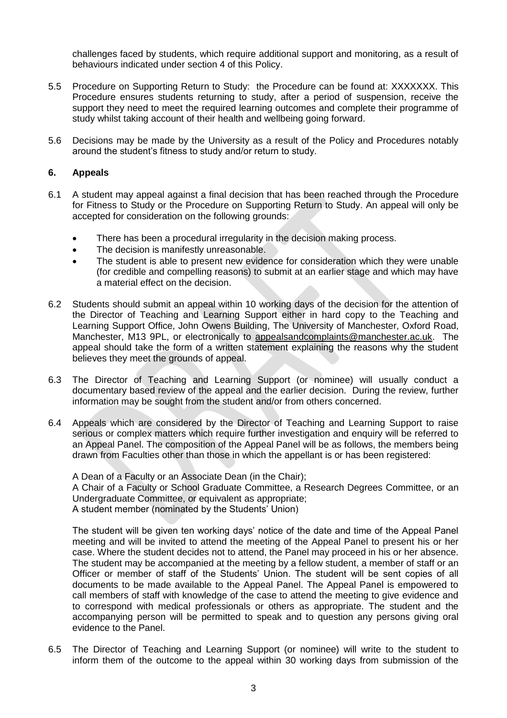challenges faced by students, which require additional support and monitoring, as a result of behaviours indicated under section 4 of this Policy.

- 5.5 Procedure on Supporting Return to Study: the Procedure can be found at: XXXXXXX. This Procedure ensures students returning to study, after a period of suspension, receive the support they need to meet the required learning outcomes and complete their programme of study whilst taking account of their health and wellbeing going forward.
- 5.6 Decisions may be made by the University as a result of the Policy and Procedures notably around the student's fitness to study and/or return to study.

### **6. Appeals**

- 6.1 A student may appeal against a final decision that has been reached through the Procedure for Fitness to Study or the Procedure on Supporting Return to Study. An appeal will only be accepted for consideration on the following grounds:
	- There has been a procedural irregularity in the decision making process.
	- The decision is manifestly unreasonable.
	- The student is able to present new evidence for consideration which they were unable (for credible and compelling reasons) to submit at an earlier stage and which may have a material effect on the decision.
- 6.2 Students should submit an appeal within 10 working days of the decision for the attention of the Director of Teaching and Learning Support either in hard copy to the Teaching and Learning Support Office, John Owens Building, The University of Manchester, Oxford Road, Manchester, M13 9PL, or electronically to [appealsandcomplaints@manchester.ac.uk.](mailto:appealsandcomplaints@manchester.ac.uk) The appeal should take the form of a written statement explaining the reasons why the student believes they meet the grounds of appeal.
- 6.3 The Director of Teaching and Learning Support (or nominee) will usually conduct a documentary based review of the appeal and the earlier decision. During the review, further information may be sought from the student and/or from others concerned.
- 6.4 Appeals which are considered by the Director of Teaching and Learning Support to raise serious or complex matters which require further investigation and enquiry will be referred to an Appeal Panel. The composition of the Appeal Panel will be as follows, the members being drawn from Faculties other than those in which the appellant is or has been registered:

A Dean of a Faculty or an Associate Dean (in the Chair); A Chair of a Faculty or School Graduate Committee, a Research Degrees Committee, or an Undergraduate Committee, or equivalent as appropriate; A student member (nominated by the Students' Union)

The student will be given ten working days' notice of the date and time of the Appeal Panel meeting and will be invited to attend the meeting of the Appeal Panel to present his or her case. Where the student decides not to attend, the Panel may proceed in his or her absence. The student may be accompanied at the meeting by a fellow student, a member of staff or an Officer or member of staff of the Students' Union. The student will be sent copies of all documents to be made available to the Appeal Panel. The Appeal Panel is empowered to call members of staff with knowledge of the case to attend the meeting to give evidence and to correspond with medical professionals or others as appropriate. The student and the accompanying person will be permitted to speak and to question any persons giving oral evidence to the Panel.

6.5 The Director of Teaching and Learning Support (or nominee) will write to the student to inform them of the outcome to the appeal within 30 working days from submission of the